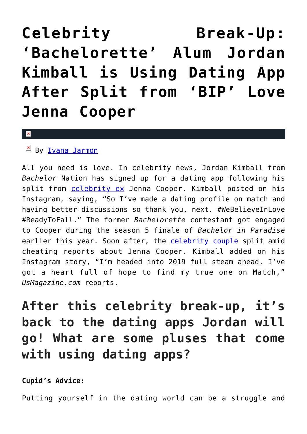## **[Celebrity Break-Up:](https://cupidspulse.com/127980/celebrity-break-up-bachelorette-jordan-kimball-dating-app-after-jenna-cooper-split/) ['Bachelorette' Alum Jordan](https://cupidspulse.com/127980/celebrity-break-up-bachelorette-jordan-kimball-dating-app-after-jenna-cooper-split/) [Kimball is Using Dating App](https://cupidspulse.com/127980/celebrity-break-up-bachelorette-jordan-kimball-dating-app-after-jenna-cooper-split/) [After Split from 'BIP' Love](https://cupidspulse.com/127980/celebrity-break-up-bachelorette-jordan-kimball-dating-app-after-jenna-cooper-split/) [Jenna Cooper](https://cupidspulse.com/127980/celebrity-break-up-bachelorette-jordan-kimball-dating-app-after-jenna-cooper-split/)**

 $\vert \mathbf{x} \vert$ 

## $\mathbb{F}$  By <u>Ivana Jarmon</u>

All you need is love. In celebrity news, Jordan Kimball from *Bachelor* Nation has signed up for a dating app following his split from **[celebrity ex](http://cupidspulse.com/celebrity-news/celebrity-break-ups/)** Jenna Cooper. Kimball posted on his Instagram, saying, "So I've made a dating profile on match and having better discussions so thank you, next. #WeBelieveInLove #ReadyToFall." The former *Bachelorette* contestant got engaged to Cooper during the season 5 finale of *Bachelor in Paradise* earlier this year. Soon after, the [celebrity couple](http://cupidspulse.com/celebrity-news/celebrity-dating/) split amid cheating reports about Jenna Cooper. Kimball added on his Instagram story, "I'm headed into 2019 full steam ahead. I've got a heart full of hope to find my true one on Match," *UsMagazine.com* reports.

## **After this celebrity break-up, it's back to the dating apps Jordan will go! What are some pluses that come with using dating apps?**

**Cupid's Advice:**

Putting yourself in the dating world can be a struggle and